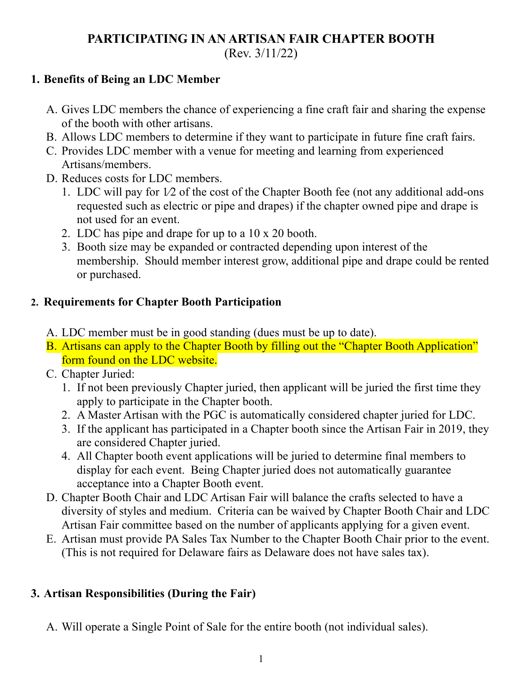# **PARTICIPATING IN AN ARTISAN FAIR CHAPTER BOOTH** (Rev. 3/11/22)

### **1. Benefits of Being an LDC Member**

- A. Gives LDC members the chance of experiencing a fine craft fair and sharing the expense of the booth with other artisans.
- B. Allows LDC members to determine if they want to participate in future fine craft fairs.
- C. Provides LDC member with a venue for meeting and learning from experienced Artisans/members.
- D. Reduces costs for LDC members.
	- 1. LDC will pay for 1⁄2 of the cost of the Chapter Booth fee (not any additional add-ons requested such as electric or pipe and drapes) if the chapter owned pipe and drape is not used for an event.
	- 2. LDC has pipe and drape for up to a 10 x 20 booth.
	- 3. Booth size may be expanded or contracted depending upon interest of the membership. Should member interest grow, additional pipe and drape could be rented or purchased.

### **2. Requirements for Chapter Booth Participation**

- A. LDC member must be in good standing (dues must be up to date).
- B. Artisans can apply to the Chapter Booth by filling out the "Chapter Booth Application" form found on the LDC website.
- C. Chapter Juried:
	- 1. If not been previously Chapter juried, then applicant will be juried the first time they apply to participate in the Chapter booth.
	- 2. A Master Artisan with the PGC is automatically considered chapter juried for LDC.
	- 3. If the applicant has participated in a Chapter booth since the Artisan Fair in 2019, they are considered Chapter juried.
	- 4. All Chapter booth event applications will be juried to determine final members to display for each event. Being Chapter juried does not automatically guarantee acceptance into a Chapter Booth event.
- D. Chapter Booth Chair and LDC Artisan Fair will balance the crafts selected to have a diversity of styles and medium. Criteria can be waived by Chapter Booth Chair and LDC Artisan Fair committee based on the number of applicants applying for a given event.
- E. Artisan must provide PA Sales Tax Number to the Chapter Booth Chair prior to the event. (This is not required for Delaware fairs as Delaware does not have sales tax).

### **3. Artisan Responsibilities (During the Fair)**

A. Will operate a Single Point of Sale for the entire booth (not individual sales).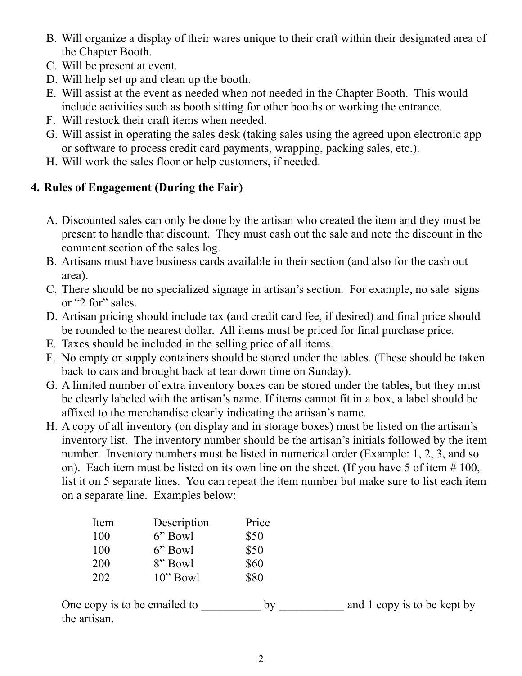- B. Will organize a display of their wares unique to their craft within their designated area of the Chapter Booth.
- C. Will be present at event.
- D. Will help set up and clean up the booth.
- E. Will assist at the event as needed when not needed in the Chapter Booth. This would include activities such as booth sitting for other booths or working the entrance.
- F. Will restock their craft items when needed.
- G. Will assist in operating the sales desk (taking sales using the agreed upon electronic app or software to process credit card payments, wrapping, packing sales, etc.).
- H. Will work the sales floor or help customers, if needed.

## **4. Rules of Engagement (During the Fair)**

- A. Discounted sales can only be done by the artisan who created the item and they must be present to handle that discount. They must cash out the sale and note the discount in the comment section of the sales log.
- B. Artisans must have business cards available in their section (and also for the cash out area).
- C. There should be no specialized signage in artisan's section. For example, no sale signs or "2 for" sales.
- D. Artisan pricing should include tax (and credit card fee, if desired) and final price should be rounded to the nearest dollar. All items must be priced for final purchase price.
- E. Taxes should be included in the selling price of all items.
- F. No empty or supply containers should be stored under the tables. (These should be taken back to cars and brought back at tear down time on Sunday).
- G. A limited number of extra inventory boxes can be stored under the tables, but they must be clearly labeled with the artisan's name. If items cannot fit in a box, a label should be affixed to the merchandise clearly indicating the artisan's name.
- H. A copy of all inventory (on display and in storage boxes) must be listed on the artisan's inventory list. The inventory number should be the artisan's initials followed by the item number. Inventory numbers must be listed in numerical order (Example: 1, 2, 3, and so on). Each item must be listed on its own line on the sheet. (If you have 5 of item # 100, list it on 5 separate lines. You can repeat the item number but make sure to list each item on a separate line. Examples below:

| Item | Description | Price |
|------|-------------|-------|
| 100  | 6" Bowl     | \$50  |
| 100  | 6" Bowl     | \$50  |
| 200  | 8" Bowl     | \$60  |
| 202  | $10$ " Bowl | \$80  |

One copy is to be emailed to by and 1 copy is to be kept by the artisan.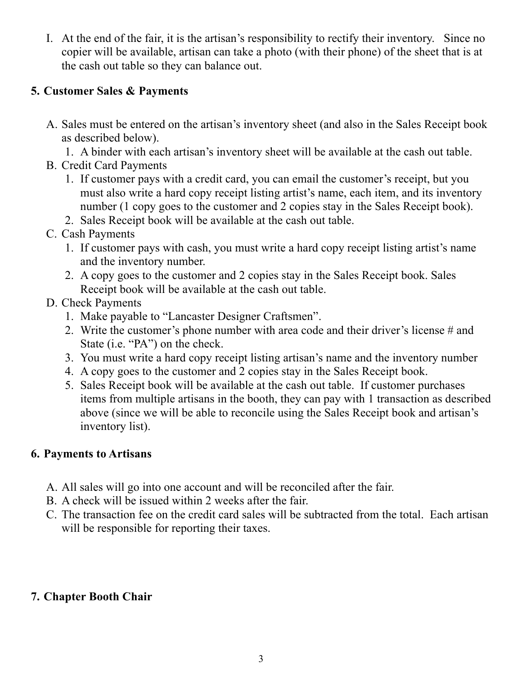I. At the end of the fair, it is the artisan's responsibility to rectify their inventory. Since no copier will be available, artisan can take a photo (with their phone) of the sheet that is at the cash out table so they can balance out.

### **5. Customer Sales & Payments**

- A. Sales must be entered on the artisan's inventory sheet (and also in the Sales Receipt book as described below).
	- 1. A binder with each artisan's inventory sheet will be available at the cash out table.
- B. Credit Card Payments
	- 1. If customer pays with a credit card, you can email the customer's receipt, but you must also write a hard copy receipt listing artist's name, each item, and its inventory number (1 copy goes to the customer and 2 copies stay in the Sales Receipt book).
	- 2. Sales Receipt book will be available at the cash out table.
- C. Cash Payments
	- 1. If customer pays with cash, you must write a hard copy receipt listing artist's name and the inventory number.
	- 2. A copy goes to the customer and 2 copies stay in the Sales Receipt book. Sales Receipt book will be available at the cash out table.
- D. Check Payments
	- 1. Make payable to "Lancaster Designer Craftsmen".
	- 2. Write the customer's phone number with area code and their driver's license # and State (i.e. "PA") on the check.
	- 3. You must write a hard copy receipt listing artisan's name and the inventory number
	- 4. A copy goes to the customer and 2 copies stay in the Sales Receipt book.
	- 5. Sales Receipt book will be available at the cash out table. If customer purchases items from multiple artisans in the booth, they can pay with 1 transaction as described above (since we will be able to reconcile using the Sales Receipt book and artisan's inventory list).

### **6. Payments to Artisans**

- A. All sales will go into one account and will be reconciled after the fair.
- B. A check will be issued within 2 weeks after the fair.
- C. The transaction fee on the credit card sales will be subtracted from the total. Each artisan will be responsible for reporting their taxes.

## **7. Chapter Booth Chair**